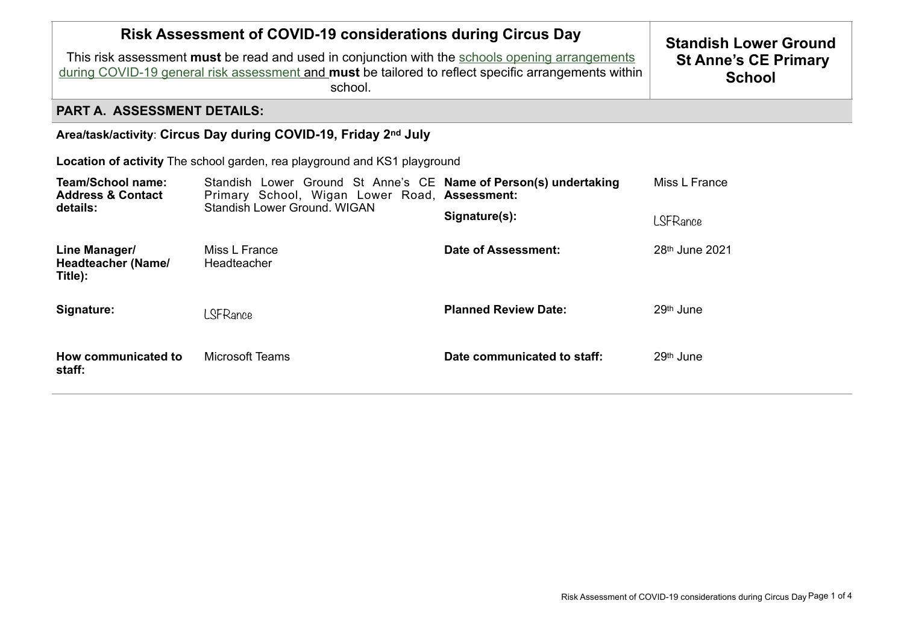| <b>Risk Assessment of COVID-19 considerations during Circus Day</b><br>This risk assessment <b>must</b> be read and used in conjunction with the schools opening arrangements<br>during COVID-19 general risk assessment and must be tailored to reflect specific arrangements within | <b>Standish Lower Ground</b><br><b>St Anne's CE Primary</b><br><b>School</b>                                                                      |                             |                            |  |  |  |
|---------------------------------------------------------------------------------------------------------------------------------------------------------------------------------------------------------------------------------------------------------------------------------------|---------------------------------------------------------------------------------------------------------------------------------------------------|-----------------------------|----------------------------|--|--|--|
| <b>PART A. ASSESSMENT DETAILS:</b>                                                                                                                                                                                                                                                    |                                                                                                                                                   |                             |                            |  |  |  |
| Area/task/activity: Circus Day during COVID-19, Friday 2nd July                                                                                                                                                                                                                       |                                                                                                                                                   |                             |                            |  |  |  |
| <b>Location of activity</b> The school garden, rea playground and KS1 playground                                                                                                                                                                                                      |                                                                                                                                                   |                             |                            |  |  |  |
| Team/School name:<br><b>Address &amp; Contact</b><br>details:                                                                                                                                                                                                                         | Standish Lower Ground St Anne's CE Name of Person(s) undertaking<br>Primary School, Wigan Lower Road, Assessment:<br>Standish Lower Ground, WIGAN |                             | Miss L France              |  |  |  |
|                                                                                                                                                                                                                                                                                       |                                                                                                                                                   | Signature(s):               | LSFRance                   |  |  |  |
| Line Manager/<br><b>Headteacher (Name/</b><br>Title):                                                                                                                                                                                                                                 | Miss L France<br>Headteacher                                                                                                                      | Date of Assessment:         | 28 <sup>th</sup> June 2021 |  |  |  |
| Signature:                                                                                                                                                                                                                                                                            | LSFRance                                                                                                                                          | <b>Planned Review Date:</b> | 29 <sup>th</sup> June      |  |  |  |
| How communicated to<br>staff:                                                                                                                                                                                                                                                         | <b>Microsoft Teams</b>                                                                                                                            | Date communicated to staff: | 29 <sup>th</sup> June      |  |  |  |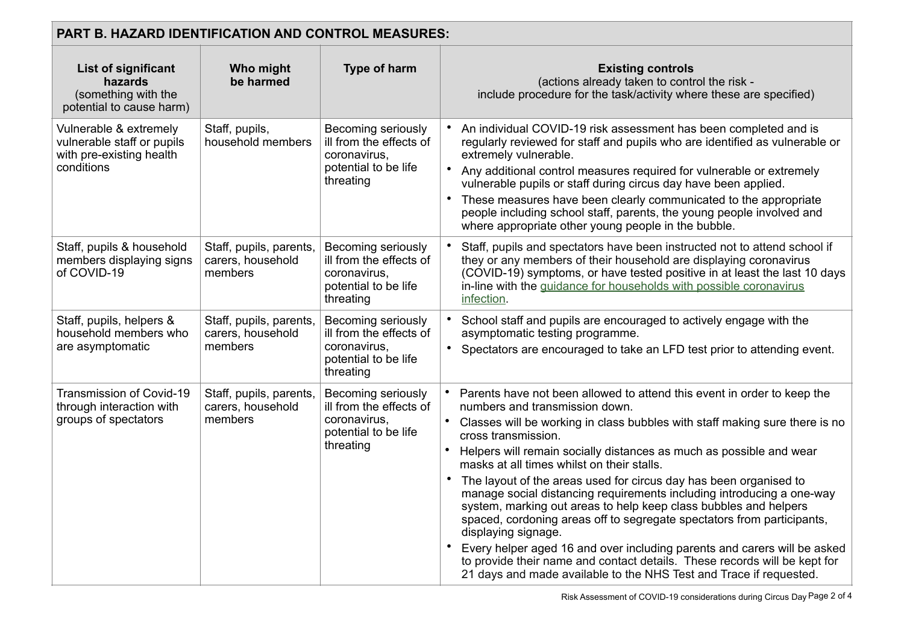| PART B. HAZARD IDENTIFICATION AND CONTROL MEASURES:                                            |                                                         |                                                                                                    |                                                                                                                                                                                                                                                                                                                                                                                                                                                                                                                                                                                                                                                                                                                                                                                                                                                                                        |  |
|------------------------------------------------------------------------------------------------|---------------------------------------------------------|----------------------------------------------------------------------------------------------------|----------------------------------------------------------------------------------------------------------------------------------------------------------------------------------------------------------------------------------------------------------------------------------------------------------------------------------------------------------------------------------------------------------------------------------------------------------------------------------------------------------------------------------------------------------------------------------------------------------------------------------------------------------------------------------------------------------------------------------------------------------------------------------------------------------------------------------------------------------------------------------------|--|
| <b>List of significant</b><br>hazards<br>(something with the<br>potential to cause harm)       | Who might<br>be harmed                                  | Type of harm                                                                                       | <b>Existing controls</b><br>(actions already taken to control the risk -<br>include procedure for the task/activity where these are specified)                                                                                                                                                                                                                                                                                                                                                                                                                                                                                                                                                                                                                                                                                                                                         |  |
| Vulnerable & extremely<br>vulnerable staff or pupils<br>with pre-existing health<br>conditions | Staff, pupils,<br>household members                     | Becoming seriously<br>ill from the effects of<br>coronavirus,<br>potential to be life<br>threating | An individual COVID-19 risk assessment has been completed and is<br>regularly reviewed for staff and pupils who are identified as vulnerable or<br>extremely vulnerable.<br>• Any additional control measures required for vulnerable or extremely<br>vulnerable pupils or staff during circus day have been applied.<br>These measures have been clearly communicated to the appropriate<br>people including school staff, parents, the young people involved and<br>where appropriate other young people in the bubble.                                                                                                                                                                                                                                                                                                                                                              |  |
| Staff, pupils & household<br>members displaying signs<br>of COVID-19                           | Staff, pupils, parents,<br>carers, household<br>members | Becoming seriously<br>ill from the effects of<br>coronavirus,<br>potential to be life<br>threating | Staff, pupils and spectators have been instructed not to attend school if<br>they or any members of their household are displaying coronavirus<br>(COVID-19) symptoms, or have tested positive in at least the last 10 days<br>in-line with the guidance for households with possible coronavirus<br>infection.                                                                                                                                                                                                                                                                                                                                                                                                                                                                                                                                                                        |  |
| Staff, pupils, helpers &<br>household members who<br>are asymptomatic                          | Staff, pupils, parents,<br>carers, household<br>members | Becoming seriously<br>ill from the effects of<br>coronavirus,<br>potential to be life<br>threating | School staff and pupils are encouraged to actively engage with the<br>asymptomatic testing programme.<br>Spectators are encouraged to take an LFD test prior to attending event.<br>$\bullet$                                                                                                                                                                                                                                                                                                                                                                                                                                                                                                                                                                                                                                                                                          |  |
| Transmission of Covid-19<br>through interaction with<br>groups of spectators                   | Staff, pupils, parents,<br>carers, household<br>members | Becoming seriously<br>ill from the effects of<br>coronavirus,<br>potential to be life<br>threating | Parents have not been allowed to attend this event in order to keep the<br>numbers and transmission down.<br>Classes will be working in class bubbles with staff making sure there is no<br>cross transmission.<br>Helpers will remain socially distances as much as possible and wear<br>masks at all times whilst on their stalls.<br>The layout of the areas used for circus day has been organised to<br>manage social distancing requirements including introducing a one-way<br>system, marking out areas to help keep class bubbles and helpers<br>spaced, cordoning areas off to segregate spectators from participants,<br>displaying signage.<br>Every helper aged 16 and over including parents and carers will be asked<br>to provide their name and contact details. These records will be kept for<br>21 days and made available to the NHS Test and Trace if requested. |  |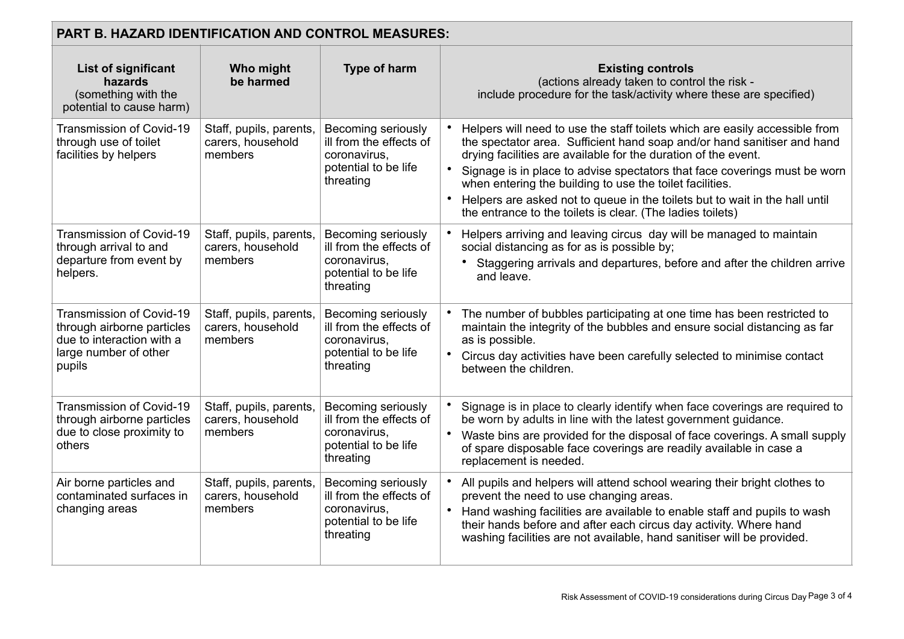| <b>PART B. HAZARD IDENTIFICATION AND CONTROL MEASURES:</b>                                                             |                                                         |                                                                                                    |                                                                                                                                                                                                                                                                                                                                                                                                                                                                                                                |  |
|------------------------------------------------------------------------------------------------------------------------|---------------------------------------------------------|----------------------------------------------------------------------------------------------------|----------------------------------------------------------------------------------------------------------------------------------------------------------------------------------------------------------------------------------------------------------------------------------------------------------------------------------------------------------------------------------------------------------------------------------------------------------------------------------------------------------------|--|
| List of significant<br>hazards<br>(something with the<br>potential to cause harm)                                      | Who might<br>be harmed                                  | <b>Type of harm</b>                                                                                | <b>Existing controls</b><br>(actions already taken to control the risk -<br>include procedure for the task/activity where these are specified)                                                                                                                                                                                                                                                                                                                                                                 |  |
| <b>Transmission of Covid-19</b><br>through use of toilet<br>facilities by helpers                                      | Staff, pupils, parents,<br>carers, household<br>members | Becoming seriously<br>ill from the effects of<br>coronavirus,<br>potential to be life<br>threating | Helpers will need to use the staff toilets which are easily accessible from<br>the spectator area. Sufficient hand soap and/or hand sanitiser and hand<br>drying facilities are available for the duration of the event.<br>Signage is in place to advise spectators that face coverings must be worn<br>when entering the building to use the toilet facilities.<br>Helpers are asked not to queue in the toilets but to wait in the hall until<br>the entrance to the toilets is clear. (The ladies toilets) |  |
| Transmission of Covid-19<br>through arrival to and<br>departure from event by<br>helpers.                              | Staff, pupils, parents,<br>carers, household<br>members | Becoming seriously<br>ill from the effects of<br>coronavirus.<br>potential to be life<br>threating | Helpers arriving and leaving circus day will be managed to maintain<br>social distancing as for as is possible by;<br>Staggering arrivals and departures, before and after the children arrive<br>and leave.                                                                                                                                                                                                                                                                                                   |  |
| Transmission of Covid-19<br>through airborne particles<br>due to interaction with a<br>large number of other<br>pupils | Staff, pupils, parents,<br>carers, household<br>members | Becoming seriously<br>ill from the effects of<br>coronavirus,<br>potential to be life<br>threating | • The number of bubbles participating at one time has been restricted to<br>maintain the integrity of the bubbles and ensure social distancing as far<br>as is possible.<br>Circus day activities have been carefully selected to minimise contact<br>between the children.                                                                                                                                                                                                                                    |  |
| Transmission of Covid-19<br>through airborne particles<br>due to close proximity to<br>others                          | Staff, pupils, parents,<br>carers, household<br>members | Becoming seriously<br>ill from the effects of<br>coronavirus.<br>potential to be life<br>threating | Signage is in place to clearly identify when face coverings are required to<br>be worn by adults in line with the latest government guidance.<br>Waste bins are provided for the disposal of face coverings. A small supply<br>of spare disposable face coverings are readily available in case a<br>replacement is needed.                                                                                                                                                                                    |  |
| Air borne particles and<br>contaminated surfaces in<br>changing areas                                                  | Staff, pupils, parents,<br>carers, household<br>members | Becoming seriously<br>ill from the effects of<br>coronavirus,<br>potential to be life<br>threating | All pupils and helpers will attend school wearing their bright clothes to<br>prevent the need to use changing areas.<br>Hand washing facilities are available to enable staff and pupils to wash<br>their hands before and after each circus day activity. Where hand<br>washing facilities are not available, hand sanitiser will be provided.                                                                                                                                                                |  |